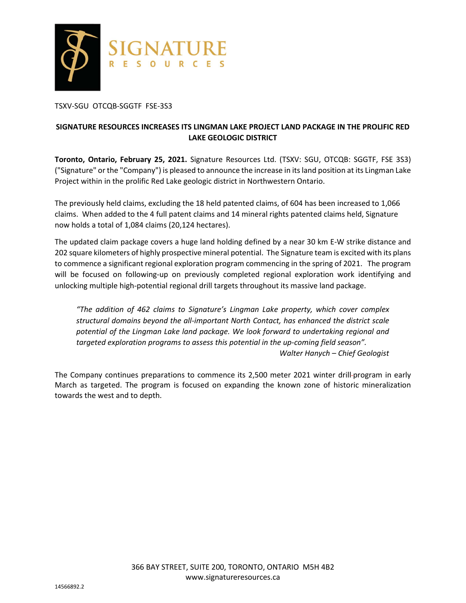

### TSXV-SGU OTCQB-SGGTF FSE-3S3

# **SIGNATURE RESOURCES INCREASES ITS LINGMAN LAKE PROJECT LAND PACKAGE IN THE PROLIFIC RED LAKE GEOLOGIC DISTRICT**

**Toronto, Ontario, February 25, 2021.** Signature Resources Ltd. (TSXV: SGU, OTCQB: SGGTF, FSE 3S3) ("Signature" or the "Company") is pleased to announce the increase in its land position at its Lingman Lake Project within in the prolific Red Lake geologic district in Northwestern Ontario.

The previously held claims, excluding the 18 held patented claims, of 604 has been increased to 1,066 claims. When added to the 4 full patent claims and 14 mineral rights patented claims held, Signature now holds a total of 1,084 claims (20,124 hectares).

The updated claim package covers a huge land holding defined by a near 30 km E-W strike distance and 202 square kilometers of highly prospective mineral potential. The Signature team is excited with its plans to commence a significant regional exploration program commencing in the spring of 2021. The program will be focused on following-up on previously completed regional exploration work identifying and unlocking multiple high-potential regional drill targets throughout its massive land package.

*"The addition of 462 claims to Signature's Lingman Lake property, which cover complex structural domains beyond the all-important North Contact, has enhanced the district scale potential of the Lingman Lake land package. We look forward to undertaking regional and targeted exploration programs to assess this potential in the up-coming field season". Walter Hanych – Chief Geologist* 

The Company continues preparations to commence its 2,500 meter 2021 winter drill-program in early March as targeted. The program is focused on expanding the known zone of historic mineralization towards the west and to depth.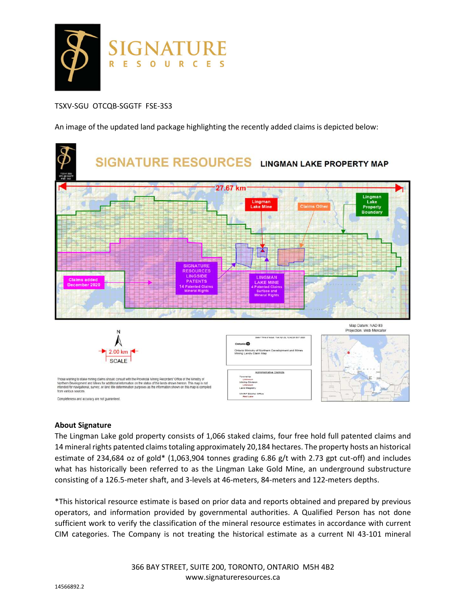

## TSXV-SGU OTCQB-SGGTF FSE-3S3

An image of the updated land package highlighting the recently added claims is depicted below:



#### **About Signature**

The Lingman Lake gold property consists of 1,066 staked claims, four free hold full patented claims and 14 mineral rights patented claims totaling approximately 20,184 hectares. The property hosts an historical estimate of 234,684 oz of gold\* (1,063,904 tonnes grading 6.86 g/t with 2.73 gpt cut-off) and includes what has historically been referred to as the Lingman Lake Gold Mine, an underground substructure consisting of a 126.5-meter shaft, and 3-levels at 46-meters, 84-meters and 122-meters depths.

\*This historical resource estimate is based on prior data and reports obtained and prepared by previous operators, and information provided by governmental authorities. A Qualified Person has not done sufficient work to verify the classification of the mineral resource estimates in accordance with current CIM categories. The Company is not treating the historical estimate as a current NI 43-101 mineral